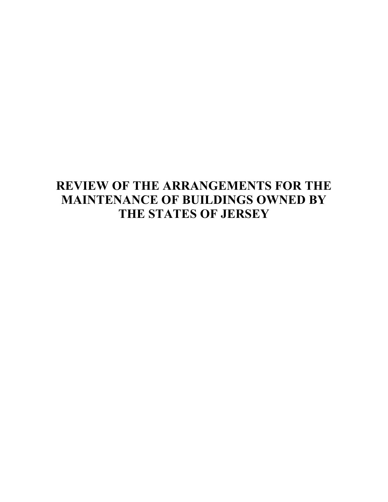# **REVIEW OF THE ARRANGEMENTS FOR THE MAINTENANCE OF BUILDINGS OWNED BY THE STATES OF JERSEY**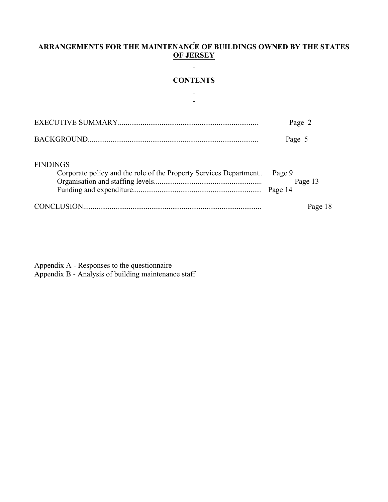## **ARRANGEMENTS FOR THE MAINTENANCE OF BUILDINGS OWNED BY THE STATES OF JERSEY**

# **CONTENTS**  $\overline{a}$

 $\overline{\phantom{a}}$ 

|                                                                                      | Page 2                       |
|--------------------------------------------------------------------------------------|------------------------------|
|                                                                                      | Page 5                       |
| <b>FINDINGS</b><br>Corporate policy and the role of the Property Services Department | Page 9<br>Page 13<br>Page 14 |
|                                                                                      | Page 18                      |

Appendix A - Responses to the questionnaire Appendix B - Analysis of building maintenance staff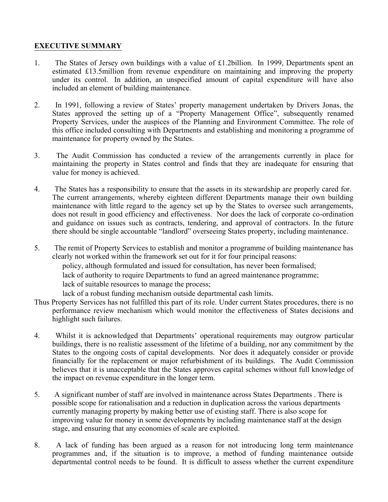# **EXECUTIVE SUMMARY**

- 1. The States of Jersey own buildings with a value of £1.2billion. In 1999, Departments spent an estimated £13.5million from revenue expenditure on maintaining and improving the property under its control. In addition, an unspecified amount of capital expenditure will have also included an element of building maintenance.
- 2. In 1991, following a review of States' property management undertaken by Drivers Jonas, the States approved the setting up of a "Property Management Office", subsequently renamed Property Services, under the auspices of the Planning and Environment Committee. The role of this office included consulting with Departments and establishing and monitoring a programme of maintenance for property owned by the States.
- 3. The Audit Commission has conducted a review of the arrangements currently in place for maintaining the property in States control and finds that they are inadequate for ensuring that value for money is achieved.
- 4. The States has a responsibility to ensure that the assets in its stewardship are properly cared for. The current arrangements, whereby eighteen different Departments manage their own building maintenance with little regard to the agency set up by the States to oversee such arrangements, does not result in good efficiency and effectiveness. Nor does the lack of corporate co-ordination and guidance on issues such as contracts, tendering, and approval of contractors. In the future there should be single accountable "landlord" overseeing States property, including maintenance.
- 5. The remit of Property Services to establish and monitor a programme of building maintenance has clearly not worked within the framework set out for it for four principal reasons: policy, although formulated and issued for consultation, has never been formalised; lack of authority to require Departments to fund an agreed maintenance programme; lack of suitable resources to manage the process; lack of a robust funding mechanism outside departmental cash limits.
- Thus Property Services has not fulfilled this part of its role. Under current States procedures, there is no performance review mechanism which would monitor the effectiveness of States decisions and highlight such failures.
- 4. Whilst it is acknowledged that Departments' operational requirements may outgrow particular buildings, there is no realistic assessment of the lifetime of a building, nor any commitment by the States to the ongoing costs of capital developments. Nor does it adequately consider or provide financially for the replacement or major refurbishment of its buildings. The Audit Commission believes that it is unacceptable that the States approves capital schemes without full knowledge of the impact on revenue expenditure in the longer term.
- 5. A significant number of staff are involved in maintenance across States Departments . There is possible scope for rationalisation and a reduction in duplication across the various departments currently managing property by making better use of existing staff. There is also scope for improving value for money in some developments by including maintenance staff at the design stage, and ensuring that any economies of scale are exploited.
- 8. A lack of funding has been argued as a reason for not introducing long term maintenance programmes and, if the situation is to improve, a method of funding maintenance outside departmental control needs to be found. It is difficult to assess whether the current expenditure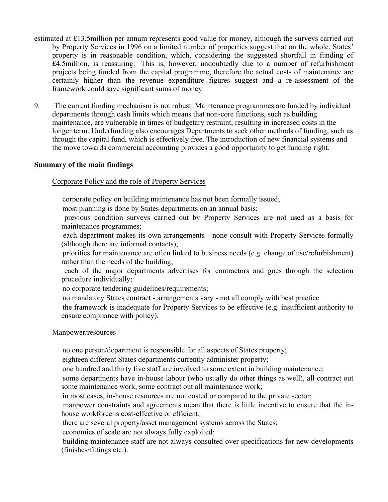- estimated at £13.5million per annum represents good value for money, although the surveys carried out by Property Services in 1996 on a limited number of properties suggest that on the whole, States' property is in reasonable condition, which, considering the suggested shortfall in funding of £4.5million, is reassuring. This is, however, undoubtedly due to a number of refurbishment projects being funded from the capital programme, therefore the actual costs of maintenance are certainly higher than the revenue expenditure figures suggest and a re-assessment of the framework could save significant sums of money.
- 9. The current funding mechanism is not robust. Maintenance programmes are funded by individual departments through cash limits which means that non-core functions, such as building maintenance, are vulnerable in times of budgetary restraint, resulting in increased costs in the longer term. Underfunding also encourages Departments to seek other methods of funding, such as through the capital fund, which is effectively free. The introduction of new financial systems and the move towards commercial accounting provides a good opportunity to get funding right.

#### **Summary of the main findings**

Corporate Policy and the role of Property Services

corporate policy on building maintenance has not been formally issued;

most planning is done by States departments on an annual basis;

 previous condition surveys carried out by Property Services are not used as a basis for maintenance programmes;

 each department makes its own arrangements - none consult with Property Services formally (although there are informal contacts);

 priorities for maintenance are often linked to business needs (e.g. change of use/refurbishment) rather than the needs of the building;

 each of the major departments advertises for contractors and goes through the selection procedure individually;

no corporate tendering guidelines/requirements;

no mandatory States contract - arrangements vary - not all comply with best practice

 the framework is inadequate for Property Services to be effective (e.g. insufficient authority to ensure compliance with policy).

#### Manpower/resources

no one person/department is responsible for all aspects of States property;

eighteen different States departments currently administer property;

one hundred and thirty five staff are involved to some extent in building maintenance;

 some departments have in-house labour (who usually do other things as well), all contract out some maintenance work, some contract out all maintenance work;

in most cases, in-house resources are not costed or compared to the private sector;

 manpower constraints and agreements mean that there is little incentive to ensure that the inhouse workforce is cost-effective or efficient;

there are several property/asset management systems across the States;

economies of scale are not always fully exploited;

 building maintenance staff are not always consulted over specifications for new developments (finishes/fittings etc.).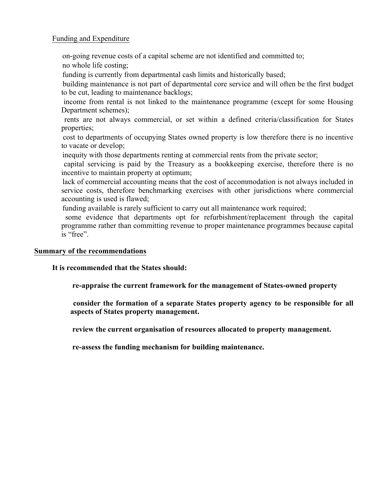# Funding and Expenditure

on-going revenue costs of a capital scheme are not identified and committed to;

no whole life costing;

funding is currently from departmental cash limits and historically based;

 building maintenance is not part of departmental core service and will often be the first budget to be cut, leading to maintenance backlogs;

 income from rental is not linked to the maintenance programme (except for some Housing Department schemes);

 rents are not always commercial, or set within a defined criteria/classification for States properties;

 cost to departments of occupying States owned property is low therefore there is no incentive to vacate or develop;

inequity with those departments renting at commercial rents from the private sector;

 capital servicing is paid by the Treasury as a bookkeeping exercise, therefore there is no incentive to maintain property at optimum;

 lack of commercial accounting means that the cost of accommodation is not always included in service costs, therefore benchmarking exercises with other jurisdictions where commercial accounting is used is flawed;

funding available is rarely sufficient to carry out all maintenance work required;

 some evidence that departments opt for refurbishment/replacement through the capital programme rather than committing revenue to proper maintenance programmes because capital is "free".

# **Summary of the recommendations**

# **It is recommended that the States should:**

**re-appraise the current framework for the management of States-owned property**

 **consider the formation of a separate States property agency to be responsible for all aspects of States property management.**

**review the current organisation of resources allocated to property management.**

**re-assess the funding mechanism for building maintenance.**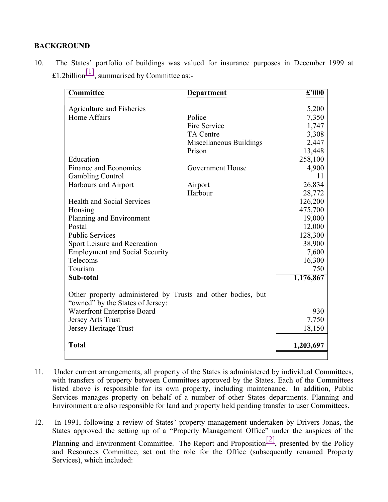## **BACKGROUND**

| 10. |                                                           | The States' portfolio of buildings was valued for insurance purposes in December 1999 at |  |  |  |  |  |
|-----|-----------------------------------------------------------|------------------------------------------------------------------------------------------|--|--|--|--|--|
|     | £1.2billion <sup>[1]</sup> , summarised by Committee as:- |                                                                                          |  |  |  |  |  |

| Agriculture and Fisheries<br>5,200<br>Home Affairs<br>Police<br>7,350<br>Fire Service<br>1,747<br>3,308<br><b>TA Centre</b><br>Miscellaneous Buildings<br>2,447<br>13,448<br>Prison<br>258,100<br>Education<br>Finance and Economics<br>Government House<br>4,900<br><b>Gambling Control</b><br>Harbours and Airport<br>Airport<br>Harbour<br><b>Health and Social Services</b><br>Housing<br>Planning and Environment<br>Postal<br><b>Public Services</b><br>Sport Leisure and Recreation<br><b>Employment and Social Security</b><br>Telecoms<br>Tourism<br>Sub-total<br>Other property administered by Trusts and other bodies, but<br>"owned" by the States of Jersey:<br>Waterfront Enterprise Board<br>Jersey Arts Trust<br>Jersey Heritage Trust<br><b>Total</b> | Committee | Department | $\overline{\mathbf{\pounds'000}}$ |
|-------------------------------------------------------------------------------------------------------------------------------------------------------------------------------------------------------------------------------------------------------------------------------------------------------------------------------------------------------------------------------------------------------------------------------------------------------------------------------------------------------------------------------------------------------------------------------------------------------------------------------------------------------------------------------------------------------------------------------------------------------------------------|-----------|------------|-----------------------------------|
|                                                                                                                                                                                                                                                                                                                                                                                                                                                                                                                                                                                                                                                                                                                                                                         |           |            |                                   |
|                                                                                                                                                                                                                                                                                                                                                                                                                                                                                                                                                                                                                                                                                                                                                                         |           |            |                                   |
|                                                                                                                                                                                                                                                                                                                                                                                                                                                                                                                                                                                                                                                                                                                                                                         |           |            |                                   |
|                                                                                                                                                                                                                                                                                                                                                                                                                                                                                                                                                                                                                                                                                                                                                                         |           |            |                                   |
|                                                                                                                                                                                                                                                                                                                                                                                                                                                                                                                                                                                                                                                                                                                                                                         |           |            |                                   |
|                                                                                                                                                                                                                                                                                                                                                                                                                                                                                                                                                                                                                                                                                                                                                                         |           |            |                                   |
|                                                                                                                                                                                                                                                                                                                                                                                                                                                                                                                                                                                                                                                                                                                                                                         |           |            |                                   |
|                                                                                                                                                                                                                                                                                                                                                                                                                                                                                                                                                                                                                                                                                                                                                                         |           |            |                                   |
|                                                                                                                                                                                                                                                                                                                                                                                                                                                                                                                                                                                                                                                                                                                                                                         |           |            | 11                                |
|                                                                                                                                                                                                                                                                                                                                                                                                                                                                                                                                                                                                                                                                                                                                                                         |           |            | 26,834                            |
|                                                                                                                                                                                                                                                                                                                                                                                                                                                                                                                                                                                                                                                                                                                                                                         |           |            | 28,772                            |
|                                                                                                                                                                                                                                                                                                                                                                                                                                                                                                                                                                                                                                                                                                                                                                         |           |            | 126,200                           |
|                                                                                                                                                                                                                                                                                                                                                                                                                                                                                                                                                                                                                                                                                                                                                                         |           |            | 475,700                           |
|                                                                                                                                                                                                                                                                                                                                                                                                                                                                                                                                                                                                                                                                                                                                                                         |           |            | 19,000                            |
|                                                                                                                                                                                                                                                                                                                                                                                                                                                                                                                                                                                                                                                                                                                                                                         |           |            | 12,000                            |
|                                                                                                                                                                                                                                                                                                                                                                                                                                                                                                                                                                                                                                                                                                                                                                         |           |            | 128,300                           |
|                                                                                                                                                                                                                                                                                                                                                                                                                                                                                                                                                                                                                                                                                                                                                                         |           |            | 38,900                            |
|                                                                                                                                                                                                                                                                                                                                                                                                                                                                                                                                                                                                                                                                                                                                                                         |           |            | 7,600                             |
|                                                                                                                                                                                                                                                                                                                                                                                                                                                                                                                                                                                                                                                                                                                                                                         |           |            | 16,300                            |
|                                                                                                                                                                                                                                                                                                                                                                                                                                                                                                                                                                                                                                                                                                                                                                         |           |            | 750                               |
|                                                                                                                                                                                                                                                                                                                                                                                                                                                                                                                                                                                                                                                                                                                                                                         |           |            | 1,176,867                         |
|                                                                                                                                                                                                                                                                                                                                                                                                                                                                                                                                                                                                                                                                                                                                                                         |           |            |                                   |
|                                                                                                                                                                                                                                                                                                                                                                                                                                                                                                                                                                                                                                                                                                                                                                         |           |            | 930                               |
|                                                                                                                                                                                                                                                                                                                                                                                                                                                                                                                                                                                                                                                                                                                                                                         |           |            | 7,750                             |
|                                                                                                                                                                                                                                                                                                                                                                                                                                                                                                                                                                                                                                                                                                                                                                         |           |            | 18,150                            |
|                                                                                                                                                                                                                                                                                                                                                                                                                                                                                                                                                                                                                                                                                                                                                                         |           |            | 1,203,697                         |

11. Under current arrangements, all property of the States is administered by individual Committees, with transfers of property between Committees approved by the States. Each of the Committees listed above is responsible for its own property, including maintenance. In addition, Public Services manages property on behalf of a number of other States departments. Planning and Environment are also responsible for land and property held pending transfer to user Committees.

12. In 1991, following a review of States' property management undertaken by Drivers Jonas, the States approved the setting up of a "Property Management Office" under the auspices of the

Planning and Environment Committee. The Report and Proposition<sup>[2]</sup>, presented by the Policy and Resources Committee, set out the role for the Office (subsequently renamed Property Services), which included: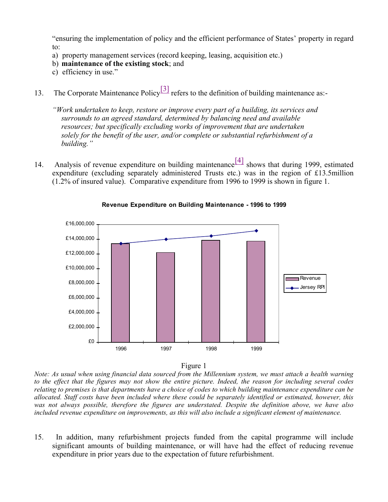"ensuring the implementation of policy and the efficient performance of States' property in regard to:

- a) property management services (record keeping, leasing, acquisition etc.)
- b) **maintenance of the existing stock**; and
- c) efficiency in use."
- 13. The Corporate Maintenance Policy<sup>[3]</sup> refers to the definition of building maintenance as:-

*"Work undertaken to keep, restore or improve every part of a building, its services and surrounds to an agreed standard, determined by balancing need and available resources; but specifically excluding works of improvement that are undertaken solely for the benefit of the user, and/or complete or substantial refurbishment of a building."*

14. Analysis of revenue expenditure on building maintenance[4] shows that during 1999, estimated expenditure (excluding separately administered Trusts etc.) was in the region of £13.5million (1.2% of insured value). Comparative expenditure from 1996 to 1999 is shown in figure 1.



#### **Revenue Expenditure on Building Maintenance - 1996 to 1999**

Figure 1

*Note: As usual when using financial data sourced from the Millennium system, we must attach a health warning to the effect that the figures may not show the entire picture. Indeed, the reason for including several codes relating to premises is that departments have a choice of codes to which building maintenance expenditure can be allocated. Staff costs have been included where these could be separately identified or estimated, however, this was not always possible, therefore the figures are understated. Despite the definition above, we have also included revenue expenditure on improvements, as this will also include a significant element of maintenance.*

15. In addition, many refurbishment projects funded from the capital programme will include significant amounts of building maintenance, or will have had the effect of reducing revenue expenditure in prior years due to the expectation of future refurbishment.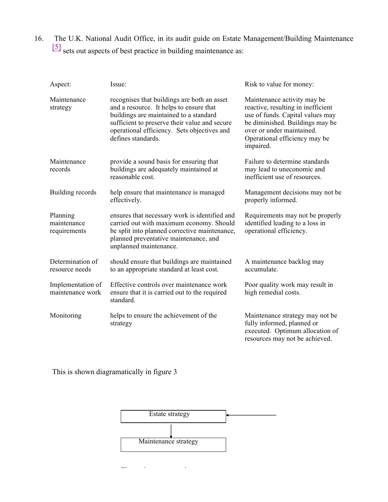16. The U.K. National Audit Office, in its audit guide on Estate Management/Building Maintenance [5] sets out aspects of best practice in building maintenance as:

| Aspect:                                 | Issue:                                                                                                                                                                                                                                                 | Risk to value for money:                                                                                                                                                                                            |
|-----------------------------------------|--------------------------------------------------------------------------------------------------------------------------------------------------------------------------------------------------------------------------------------------------------|---------------------------------------------------------------------------------------------------------------------------------------------------------------------------------------------------------------------|
| Maintenance<br>strategy                 | recognises that buildings are both an asset<br>and a resource. It helps to ensure that<br>buildings are maintained to a standard<br>sufficient to preserve their value and secure<br>operational efficiency. Sets objectives and<br>defines standards. | Maintenance activity may be<br>reactive, resulting in inefficient<br>use of funds. Capital values may<br>be diminished. Buildings may be<br>over or under maintained.<br>Operational efficiency may be<br>impaired. |
| Maintenance<br>records                  | provide a sound basis for ensuring that<br>buildings are adequately maintained at<br>reasonable cost.                                                                                                                                                  | Failure to determine standards<br>may lead to uneconomic and<br>inefficient use of resources.                                                                                                                       |
| Building records                        | help ensure that maintenance is managed<br>effectively.                                                                                                                                                                                                | Management decisions may not be<br>properly informed.                                                                                                                                                               |
| Planning<br>maintenance<br>requirements | ensures that necessary work is identified and<br>carried out with maximum economy. Should<br>be split into planned corrective maintenance,<br>planned preventative maintenance, and<br>unplanned maintenance.                                          | Requirements may not be properly<br>identified leading to a loss in<br>operational efficiency.                                                                                                                      |
| Determination of<br>resource needs      | should ensure that buildings are maintained<br>to an appropriate standard at least cost.                                                                                                                                                               | A maintenance backlog may<br>accumulate.                                                                                                                                                                            |
| Implementation of<br>maintenance work   | Effective controls over maintenance work<br>ensure that it is carried out to the required<br>standard.                                                                                                                                                 | Poor quality work may result in<br>high remedial costs.                                                                                                                                                             |
| Monitoring                              | helps to ensure the achievement of the<br>strategy                                                                                                                                                                                                     | Maintenance strategy may not be<br>fully informed, planned or<br>executed. Optimum allocation of<br>resources may not be achieved.                                                                                  |

This is shown diagramatically in figure 3



 $\frac{1}{2}$  maintenance requirements:  $\frac{1}{2}$  maintenance requirements: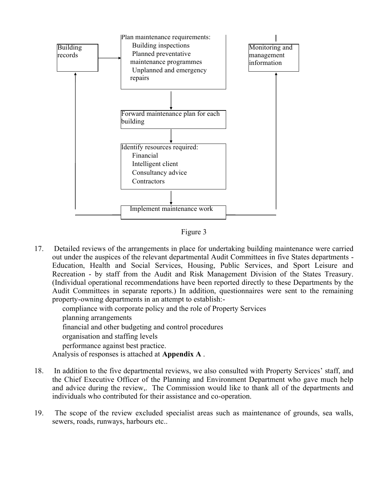

Figure 3

17. Detailed reviews of the arrangements in place for undertaking building maintenance were carried out under the auspices of the relevant departmental Audit Committees in five States departments - Education, Health and Social Services, Housing, Public Services, and Sport Leisure and Recreation - by staff from the Audit and Risk Management Division of the States Treasury. (Individual operational recommendations have been reported directly to these Departments by the Audit Committees in separate reports.) In addition, questionnaires were sent to the remaining property-owning departments in an attempt to establish:-

compliance with corporate policy and the role of Property Services

planning arrangements

financial and other budgeting and control procedures

organisation and staffing levels

performance against best practice.

Analysis of responses is attached at **Appendix A** .

- 18. In addition to the five departmental reviews, we also consulted with Property Services' staff, and the Chief Executive Officer of the Planning and Environment Department who gave much help and advice during the review,. The Commission would like to thank all of the departments and individuals who contributed for their assistance and co-operation.
- 19. The scope of the review excluded specialist areas such as maintenance of grounds, sea walls, sewers, roads, runways, harbours etc..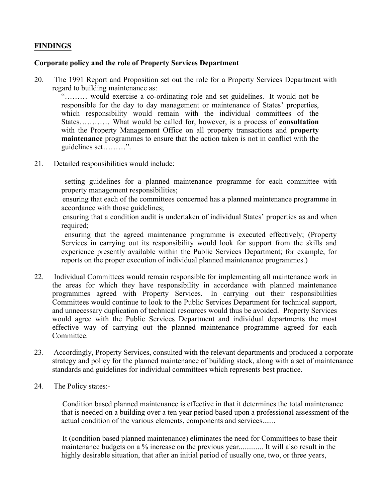# **FINDINGS**

#### **Corporate policy and the role of Property Services Department**

20. The 1991 Report and Proposition set out the role for a Property Services Department with regard to building maintenance as:

"……… would exercise a co-ordinating role and set guidelines. It would not be responsible for the day to day management or maintenance of States' properties, which responsibility would remain with the individual committees of the States………… What would be called for, however, is a process of **consultation** with the Property Management Office on all property transactions and **property maintenance** programmes to ensure that the action taken is not in conflict with the guidelines set………".

21. Detailed responsibilities would include:

 setting guidelines for a planned maintenance programme for each committee with property management responsibilities;

 ensuring that each of the committees concerned has a planned maintenance programme in accordance with those guidelines;

 ensuring that a condition audit is undertaken of individual States' properties as and when required;

 ensuring that the agreed maintenance programme is executed effectively; (Property Services in carrying out its responsibility would look for support from the skills and experience presently available within the Public Services Department; for example, for reports on the proper execution of individual planned maintenance programmes.)

- 22. Individual Committees would remain responsible for implementing all maintenance work in the areas for which they have responsibility in accordance with planned maintenance programmes agreed with Property Services. In carrying out their responsibilities Committees would continue to look to the Public Services Department for technical support, and unnecessary duplication of technical resources would thus be avoided. Property Services would agree with the Public Services Department and individual departments the most effective way of carrying out the planned maintenance programme agreed for each Committee.
- 23. Accordingly, Property Services, consulted with the relevant departments and produced a corporate strategy and policy for the planned maintenance of building stock, along with a set of maintenance standards and guidelines for individual committees which represents best practice.
- 24. The Policy states:-

 Condition based planned maintenance is effective in that it determines the total maintenance that is needed on a building over a ten year period based upon a professional assessment of the actual condition of the various elements, components and services.......

 It (condition based planned maintenance) eliminates the need for Committees to base their maintenance budgets on a % increase on the previous year............. It will also result in the highly desirable situation, that after an initial period of usually one, two, or three years,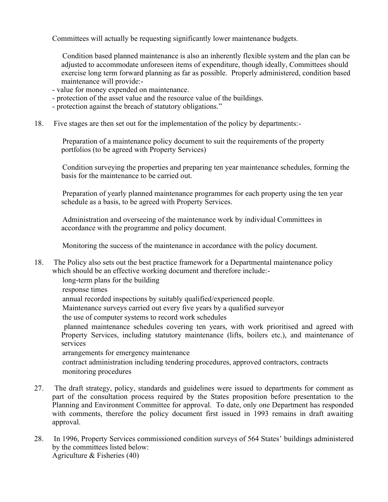Committees will actually be requesting significantly lower maintenance budgets.

 Condition based planned maintenance is also an inherently flexible system and the plan can be adjusted to accommodate unforeseen items of expenditure, though ideally, Committees should exercise long term forward planning as far as possible. Properly administered, condition based maintenance will provide:-

- value for money expended on maintenance.
- protection of the asset value and the resource value of the buildings.
- protection against the breach of statutory obligations."
- 18. Five stages are then set out for the implementation of the policy by departments:-

 Preparation of a maintenance policy document to suit the requirements of the property portfolios (to be agreed with Property Services)

 Condition surveying the properties and preparing ten year maintenance schedules, forming the basis for the maintenance to be carried out.

 Preparation of yearly planned maintenance programmes for each property using the ten year schedule as a basis, to be agreed with Property Services.

 Administration and overseeing of the maintenance work by individual Committees in accordance with the programme and policy document.

Monitoring the success of the maintenance in accordance with the policy document.

18. The Policy also sets out the best practice framework for a Departmental maintenance policy which should be an effective working document and therefore include:-

long-term plans for the building

response times

annual recorded inspections by suitably qualified/experienced people.

- Maintenance surveys carried out every five years by a qualified surveyor
- the use of computer systems to record work schedules

 planned maintenance schedules covering ten years, with work prioritised and agreed with Property Services, including statutory maintenance (lifts, boilers etc.), and maintenance of services

arrangements for emergency maintenance

 contract administration including tendering procedures, approved contractors, contracts monitoring procedures

- 27. The draft strategy, policy, standards and guidelines were issued to departments for comment as part of the consultation process required by the States proposition before presentation to the Planning and Environment Committee for approval. To date, only one Department has responded with comments, therefore the policy document first issued in 1993 remains in draft awaiting approval.
- 28. In 1996, Property Services commissioned condition surveys of 564 States' buildings administered by the committees listed below: Agriculture & Fisheries (40)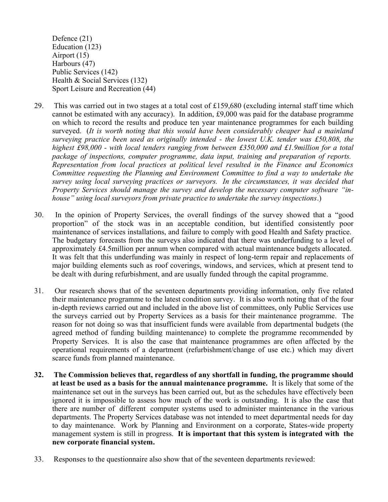Defence (21) Education (123) Airport (15) Harbours (47) Public Services (142) Health & Social Services (132) Sport Leisure and Recreation (44)

- 29. This was carried out in two stages at a total cost of £159,680 (excluding internal staff time which cannot be estimated with any accuracy). In addition, £9,000 was paid for the database programme on which to record the results and produce ten year maintenance programmes for each building surveyed. (*It is worth noting that this would have been considerably cheaper had a mainland surveying practice been used as originally intended - the lowest U.K. tender was £50,808, the highest £98,000 - with local tenders ranging from between £350,000 and £1.9million for a total package of inspections, computer programme, data input, training and preparation of reports. Representation from local practices at political level resulted in the Finance and Economics Committee requesting the Planning and Environment Committee to find a way to undertake the survey using local surveying practices or surveyors. In the circumstances, it was decided that Property Services should manage the survey and develop the necessary computer software "inhouse" using local surveyors from private practice to undertake the survey inspections*.)
- 30. In the opinion of Property Services, the overall findings of the survey showed that a "good proportion" of the stock was in an acceptable condition, but identified consistently poor maintenance of services installations, and failure to comply with good Health and Safety practice. The budgetary forecasts from the surveys also indicated that there was underfunding to a level of approximately £4.5million per annum when compared with actual maintenance budgets allocated. It was felt that this underfunding was mainly in respect of long-term repair and replacements of major building elements such as roof coverings, windows, and services, which at present tend to be dealt with during refurbishment, and are usually funded through the capital programme.
- 31. Our research shows that of the seventeen departments providing information, only five related their maintenance programme to the latest condition survey. It is also worth noting that of the four in-depth reviews carried out and included in the above list of committees, only Public Services use the surveys carried out by Property Services as a basis for their maintenance programme. The reason for not doing so was that insufficient funds were available from departmental budgets (the agreed method of funding building maintenance) to complete the programme recommended by Property Services. It is also the case that maintenance programmes are often affected by the operational requirements of a department (refurbishment/change of use etc.) which may divert scarce funds from planned maintenance.
- **32. The Commission believes that, regardless of any shortfall in funding, the programme should at least be used as a basis for the annual maintenance programme.** It is likely that some of the maintenance set out in the surveys has been carried out, but as the schedules have effectively been ignored it is impossible to assess how much of the work is outstanding. It is also the case that there are number of different computer systems used to administer maintenance in the various departments. The Property Services database was not intended to meet departmental needs for day to day maintenance. Work by Planning and Environment on a corporate, States-wide property management system is still in progress. **It is important that this system is integrated with the new corporate financial system.**
- 33. Responses to the questionnaire also show that of the seventeen departments reviewed: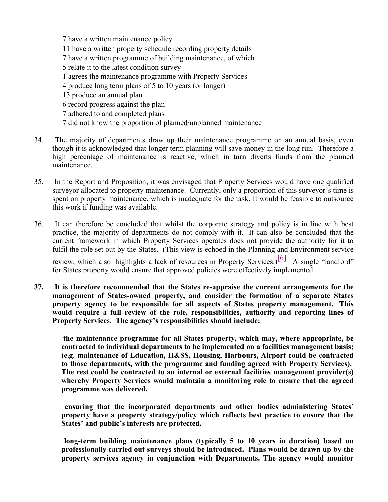7 have a written maintenance policy 11 have a written property schedule recording property details 7 have a written programme of building maintenance, of which 5 relate it to the latest condition survey 1 agrees the maintenance programme with Property Services 4 produce long term plans of 5 to 10 years (or longer) 13 produce an annual plan 6 record progress against the plan 7 adhered to and completed plans 7 did not know the proportion of planned/unplanned maintenance

- 34. The majority of departments draw up their maintenance programme on an annual basis, even though it is acknowledged that longer term planning will save money in the long run. Therefore a high percentage of maintenance is reactive, which in turn diverts funds from the planned maintenance.
- 35. In the Report and Proposition, it was envisaged that Property Services would have one qualified surveyor allocated to property maintenance. Currently, only a proportion of this surveyor's time is spent on property maintenance, which is inadequate for the task. It would be feasible to outsource this work if funding was available.
- 36. It can therefore be concluded that whilst the corporate strategy and policy is in line with best practice, the majority of departments do not comply with it. It can also be concluded that the current framework in which Property Services operates does not provide the authority for it to fulfil the role set out by the States. (This view is echoed in the Planning and Environment service

review, which also highlights a lack of resources in Property Services.)  $\begin{bmatrix} 6 \end{bmatrix}$  A single "landlord" for States property would ensure that approved policies were effectively implemented.

**37. It is therefore recommended that the States re-appraise the current arrangements for the management of States-owned property, and consider the formation of a separate States property agency to be responsible for all aspects of States property management. This would require a full review of the role, responsibilities, authority and reporting lines of Property Services. The agency's responsibilities should include:**

 **the maintenance programme for all States property, which may, where appropriate, be contracted to individual departments to be implemented on a facilities management basis; (e.g. maintenance of Education, H&SS, Housing, Harbours, Airport could be contracted to those departments, with the programme and funding agreed with Property Services). The rest could be contracted to an internal or external facilities management provider(s) whereby Property Services would maintain a monitoring role to ensure that the agreed programme was delivered.**

 **ensuring that the incorporated departments and other bodies administering States' property have a property strategy/policy which reflects best practice to ensure that the States' and public's interests are protected.**

 **long-term building maintenance plans (typically 5 to 10 years in duration) based on professionally carried out surveys should be introduced. Plans would be drawn up by the property services agency in conjunction with Departments. The agency would monitor**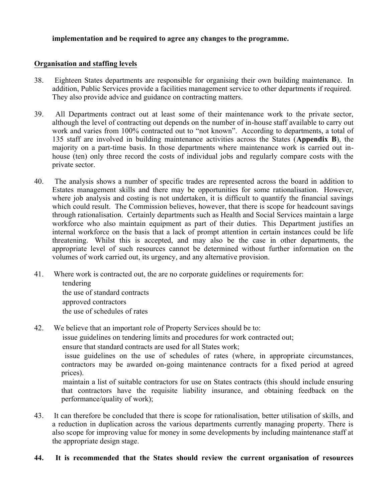## **implementation and be required to agree any changes to the programme.**

#### **Organisation and staffing levels**

- 38. Eighteen States departments are responsible for organising their own building maintenance. In addition, Public Services provide a facilities management service to other departments if required. They also provide advice and guidance on contracting matters.
- 39. All Departments contract out at least some of their maintenance work to the private sector, although the level of contracting out depends on the number of in-house staff available to carry out work and varies from 100% contracted out to "not known". According to departments, a total of 135 staff are involved in building maintenance activities across the States (**Appendix B**), the majority on a part-time basis. In those departments where maintenance work is carried out inhouse (ten) only three record the costs of individual jobs and regularly compare costs with the private sector.
- 40. The analysis shows a number of specific trades are represented across the board in addition to Estates management skills and there may be opportunities for some rationalisation. However, where job analysis and costing is not undertaken, it is difficult to quantify the financial savings which could result. The Commission believes, however, that there is scope for headcount savings through rationalisation. Certainly departments such as Health and Social Services maintain a large workforce who also maintain equipment as part of their duties. This Department justifies an internal workforce on the basis that a lack of prompt attention in certain instances could be life threatening. Whilst this is accepted, and may also be the case in other departments, the appropriate level of such resources cannot be determined without further information on the volumes of work carried out, its urgency, and any alternative provision.
- 41. Where work is contracted out, the are no corporate guidelines or requirements for: tendering the use of standard contracts approved contractors the use of schedules of rates
- 42. We believe that an important role of Property Services should be to:

issue guidelines on tendering limits and procedures for work contracted out;

ensure that standard contracts are used for all States work;

 issue guidelines on the use of schedules of rates (where, in appropriate circumstances, contractors may be awarded on-going maintenance contracts for a fixed period at agreed prices).

 maintain a list of suitable contractors for use on States contracts (this should include ensuring that contractors have the requisite liability insurance, and obtaining feedback on the performance/quality of work);

43. It can therefore be concluded that there is scope for rationalisation, better utilisation of skills, and a reduction in duplication across the various departments currently managing property. There is also scope for improving value for money in some developments by including maintenance staff at the appropriate design stage.

## **44. It is recommended that the States should review the current organisation of resources**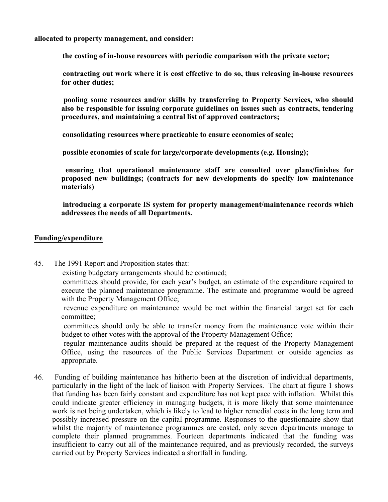**allocated to property management, and consider:**

**the costing of in-house resources with periodic comparison with the private sector;**

 **contracting out work where it is cost effective to do so, thus releasing in-house resources for other duties;**

 **pooling some resources and/or skills by transferring to Property Services, who should also be responsible for issuing corporate guidelines on issues such as contracts, tendering procedures, and maintaining a central list of approved contractors;**

**consolidating resources where practicable to ensure economies of scale;**

**possible economies of scale for large/corporate developments (e.g. Housing);**

 **ensuring that operational maintenance staff are consulted over plans/finishes for proposed new buildings; (contracts for new developments do specify low maintenance materials)**

 **introducing a corporate IS system for property management/maintenance records which addressees the needs of all Departments.**

#### **Funding/expenditure**

45. The 1991 Report and Proposition states that:

existing budgetary arrangements should be continued;

 committees should provide, for each year's budget, an estimate of the expenditure required to execute the planned maintenance programme. The estimate and programme would be agreed with the Property Management Office;

 revenue expenditure on maintenance would be met within the financial target set for each committee;

 committees should only be able to transfer money from the maintenance vote within their budget to other votes with the approval of the Property Management Office;

 regular maintenance audits should be prepared at the request of the Property Management Office, using the resources of the Public Services Department or outside agencies as appropriate.

46. Funding of building maintenance has hitherto been at the discretion of individual departments, particularly in the light of the lack of liaison with Property Services. The chart at figure 1 shows that funding has been fairly constant and expenditure has not kept pace with inflation. Whilst this could indicate greater efficiency in managing budgets, it is more likely that some maintenance work is not being undertaken, which is likely to lead to higher remedial costs in the long term and possibly increased pressure on the capital programme. Responses to the questionnaire show that whilst the majority of maintenance programmes are costed, only seven departments manage to complete their planned programmes. Fourteen departments indicated that the funding was insufficient to carry out all of the maintenance required, and as previously recorded, the surveys carried out by Property Services indicated a shortfall in funding.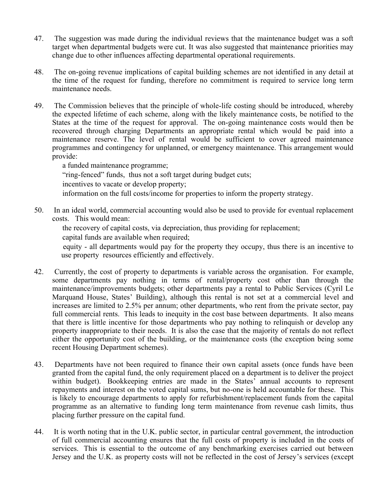- 47. The suggestion was made during the individual reviews that the maintenance budget was a soft target when departmental budgets were cut. It was also suggested that maintenance priorities may change due to other influences affecting departmental operational requirements.
- 48. The on-going revenue implications of capital building schemes are not identified in any detail at the time of the request for funding, therefore no commitment is required to service long term maintenance needs.
- 49. The Commission believes that the principle of whole-life costing should be introduced, whereby the expected lifetime of each scheme, along with the likely maintenance costs, be notified to the States at the time of the request for approval. The on-going maintenance costs would then be recovered through charging Departments an appropriate rental which would be paid into a maintenance reserve. The level of rental would be sufficient to cover agreed maintenance programmes and contingency for unplanned, or emergency maintenance. This arrangement would provide:

 a funded maintenance programme; "ring-fenced" funds, thus not a soft target during budget cuts; incentives to vacate or develop property; information on the full costs/income for properties to inform the property strategy.

50. In an ideal world, commercial accounting would also be used to provide for eventual replacement costs. This would mean:

 the recovery of capital costs, via depreciation, thus providing for replacement; capital funds are available when required;

 equity - all departments would pay for the property they occupy, thus there is an incentive to use property resources efficiently and effectively.

- 42. Currently, the cost of property to departments is variable across the organisation. For example, some departments pay nothing in terms of rental/property cost other than through the maintenance/improvements budgets; other departments pay a rental to Public Services (Cyril Le Marquand House, States' Building), although this rental is not set at a commercial level and increases are limited to 2.5% per annum; other departments, who rent from the private sector, pay full commercial rents. This leads to inequity in the cost base between departments. It also means that there is little incentive for those departments who pay nothing to relinquish or develop any property inappropriate to their needs. It is also the case that the majority of rentals do not reflect either the opportunity cost of the building, or the maintenance costs (the exception being some recent Housing Department schemes).
- 43. Departments have not been required to finance their own capital assets (once funds have been granted from the capital fund, the only requirement placed on a department is to deliver the project within budget). Bookkeeping entries are made in the States' annual accounts to represent repayments and interest on the voted capital sums, but no-one is held accountable for these. This is likely to encourage departments to apply for refurbishment/replacement funds from the capital programme as an alternative to funding long term maintenance from revenue cash limits, thus placing further pressure on the capital fund.
- 44. It is worth noting that in the U.K. public sector, in particular central government, the introduction of full commercial accounting ensures that the full costs of property is included in the costs of services. This is essential to the outcome of any benchmarking exercises carried out between Jersey and the U.K. as property costs will not be reflected in the cost of Jersey's services (except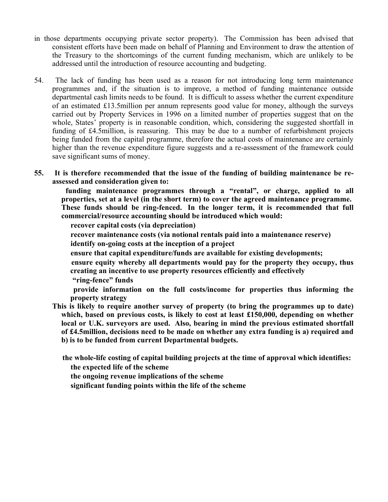- in those departments occupying private sector property). The Commission has been advised that consistent efforts have been made on behalf of Planning and Environment to draw the attention of the Treasury to the shortcomings of the current funding mechanism, which are unlikely to be addressed until the introduction of resource accounting and budgeting.
- 54. The lack of funding has been used as a reason for not introducing long term maintenance programmes and, if the situation is to improve, a method of funding maintenance outside departmental cash limits needs to be found. It is difficult to assess whether the current expenditure of an estimated £13.5million per annum represents good value for money, although the surveys carried out by Property Services in 1996 on a limited number of properties suggest that on the whole, States' property is in reasonable condition, which, considering the suggested shortfall in funding of £4.5million, is reassuring. This may be due to a number of refurbishment projects being funded from the capital programme, therefore the actual costs of maintenance are certainly higher than the revenue expenditure figure suggests and a re-assessment of the framework could save significant sums of money.
- **55. It is therefore recommended that the issue of the funding of building maintenance be reassessed and consideration given to:**

 **funding maintenance programmes through a "rental", or charge, applied to all properties, set at a level (in the short term) to cover the agreed maintenance programme. These funds should be ring-fenced. In the longer term, it is recommended that full commercial/resource accounting should be introduced which would:**

**recover capital costs (via depreciation)**

**recover maintenance costs (via notional rentals paid into a maintenance reserve)**

**identify on-going costs at the inception of a project**

**ensure that capital expenditure/funds are available for existing developments;**

 **ensure equity whereby all departments would pay for the property they occupy, thus creating an incentive to use property resources efficiently and effectively**

**"ring-fence" funds**

 **provide information on the full costs/income for properties thus informing the property strategy**

**This is likely to require another survey of property (to bring the programmes up to date) which, based on previous costs, is likely to cost at least £150,000, depending on whether local or U.K. surveyors are used. Also, bearing in mind the previous estimated shortfall of £4.5million, decisions need to be made on whether any extra funding is a) required and b) is to be funded from current Departmental budgets.**

 **the whole-life costing of capital building projects at the time of approval which identifies: the expected life of the scheme**

**the ongoing revenue implications of the scheme**

**significant funding points within the life of the scheme**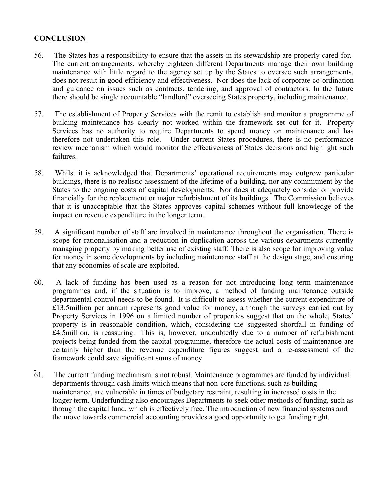# **CONCLUSION**

- 56. The States has a responsibility to ensure that the assets in its stewardship are properly cared for. The current arrangements, whereby eighteen different Departments manage their own building maintenance with little regard to the agency set up by the States to oversee such arrangements, does not result in good efficiency and effectiveness. Nor does the lack of corporate co-ordination and guidance on issues such as contracts, tendering, and approval of contractors. In the future there should be single accountable "landlord" overseeing States property, including maintenance.
- 57. The establishment of Property Services with the remit to establish and monitor a programme of building maintenance has clearly not worked within the framework set out for it. Property Services has no authority to require Departments to spend money on maintenance and has therefore not undertaken this role. Under current States procedures, there is no performance review mechanism which would monitor the effectiveness of States decisions and highlight such failures.
- 58. Whilst it is acknowledged that Departments' operational requirements may outgrow particular buildings, there is no realistic assessment of the lifetime of a building, nor any commitment by the States to the ongoing costs of capital developments. Nor does it adequately consider or provide financially for the replacement or major refurbishment of its buildings. The Commission believes that it is unacceptable that the States approves capital schemes without full knowledge of the impact on revenue expenditure in the longer term.
- 59. A significant number of staff are involved in maintenance throughout the organisation. There is scope for rationalisation and a reduction in duplication across the various departments currently managing property by making better use of existing staff. There is also scope for improving value for money in some developments by including maintenance staff at the design stage, and ensuring that any economies of scale are exploited.
- 60. A lack of funding has been used as a reason for not introducing long term maintenance programmes and, if the situation is to improve, a method of funding maintenance outside departmental control needs to be found. It is difficult to assess whether the current expenditure of £13.5million per annum represents good value for money, although the surveys carried out by Property Services in 1996 on a limited number of properties suggest that on the whole, States' property is in reasonable condition, which, considering the suggested shortfall in funding of £4.5million, is reassuring. This is, however, undoubtedly due to a number of refurbishment projects being funded from the capital programme, therefore the actual costs of maintenance are certainly higher than the revenue expenditure figures suggest and a re-assessment of the framework could save significant sums of money.
- $\overline{61}$ . The current funding mechanism is not robust. Maintenance programmes are funded by individual departments through cash limits which means that non-core functions, such as building maintenance, are vulnerable in times of budgetary restraint, resulting in increased costs in the longer term. Underfunding also encourages Departments to seek other methods of funding, such as through the capital fund, which is effectively free. The introduction of new financial systems and the move towards commercial accounting provides a good opportunity to get funding right.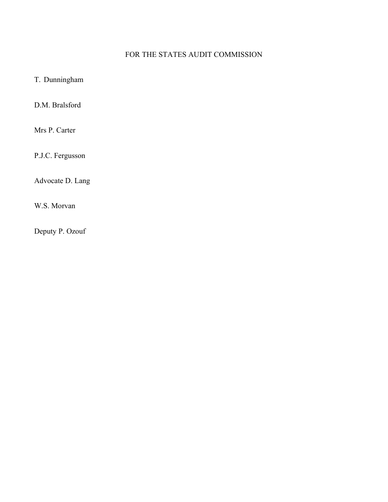# FOR THE STATES AUDIT COMMISSION

# T. Dunningham

D.M. Bralsford

Mrs P. Carter

P.J.C. Fergusson

Advocate D. Lang

W.S. Morvan

Deputy P. Ozouf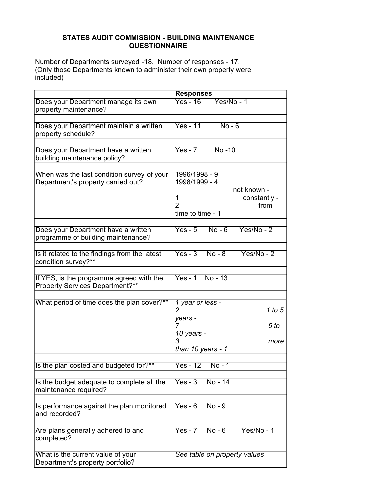#### **STATES AUDIT COMMISSION - BUILDING MAINTENANCE QUESTIONNAIRE**

Number of Departments surveyed -18. Number of responses - 17. (Only those Departments known to administer their own property were included)

|                                                                                    | <b>Responses</b>                                                                               |
|------------------------------------------------------------------------------------|------------------------------------------------------------------------------------------------|
| Does your Department manage its own<br>property maintenance?                       | $Yes - 16$<br>$Yes/No - 1$                                                                     |
| Does your Department maintain a written<br>property schedule?                      | $Yes - 11$<br>$No - 6$                                                                         |
| Does your Department have a written<br>building maintenance policy?                | $Yes - 7$<br>$No - 10$                                                                         |
| When was the last condition survey of your<br>Department's property carried out?   | 1996/1998 - 9<br>1998/1999 - 4<br>not known -<br>constantly -<br>1<br>from<br>time to time - 1 |
| Does your Department have a written<br>programme of building maintenance?          | $No - 6$<br>$Yes - 5$<br>$Yes/No - 2$                                                          |
| Is it related to the findings from the latest<br>condition survey?**               | $Yes - 3$<br>$Yes/No - 2$<br>$No - 8$                                                          |
| If YES, is the programme agreed with the<br><b>Property Services Department?**</b> | $Yes - 1$ No - 13                                                                              |
| What period of time does the plan cover?**                                         | 1 year or less -<br>1 to 5<br>$\overline{\mathbf{c}}$<br>years -<br>5 <sub>to</sub><br>7       |
|                                                                                    | 10 years -<br>3<br>more<br>than 10 years - 1                                                   |
| Is the plan costed and budgeted for?**                                             | $Yes - 12$<br>$No - 1$                                                                         |
| Is the budget adequate to complete all the<br>maintenance required?                | $No - 14$<br>$Yes - 3$                                                                         |
| Is performance against the plan monitored<br>and recorded?                         | $Yes - 6$<br>$No - 9$                                                                          |
| Are plans generally adhered to and<br>completed?                                   | $Yes - 7$<br>$No - 6$<br>$Yes/No - 1$                                                          |
| What is the current value of your<br>Department's property portfolio?              | See table on property values                                                                   |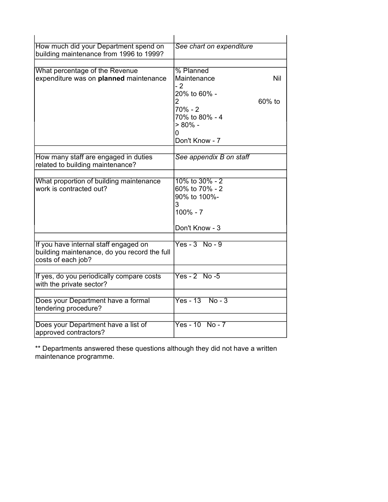| How much did your Department spend on<br>building maintenance from 1996 to 1999? | See chart on expenditure |        |
|----------------------------------------------------------------------------------|--------------------------|--------|
|                                                                                  |                          |        |
| What percentage of the Revenue                                                   | % Planned                |        |
| expenditure was on planned maintenance                                           | Maintenance<br>- 2       | Nil    |
|                                                                                  | 20% to 60% -             |        |
|                                                                                  | 2                        | 60% to |
|                                                                                  | $70\% - 2$               |        |
|                                                                                  | 70% to 80% - 4           |        |
|                                                                                  | $> 80\%$ -               |        |
|                                                                                  | 0                        |        |
|                                                                                  | Don't Know - 7           |        |
|                                                                                  |                          |        |
| How many staff are engaged in duties                                             | See appendix B on staff  |        |
| related to building maintenance?                                                 |                          |        |
|                                                                                  |                          |        |
| What proportion of building maintenance                                          | $10\%$ to $30\%$ - 2     |        |
| work is contracted out?                                                          | 60% to 70% - 2           |        |
|                                                                                  | 90% to 100%-             |        |
|                                                                                  | 3                        |        |
|                                                                                  | $100\% - 7$              |        |
|                                                                                  |                          |        |
|                                                                                  | Don't Know - 3           |        |
|                                                                                  |                          |        |
| If you have internal staff engaged on                                            | $Yes - 3 No - 9$         |        |
| building maintenance, do you record the full                                     |                          |        |
| costs of each job?                                                               |                          |        |
|                                                                                  |                          |        |
| If yes, do you periodically compare costs                                        | $Yes - 2 No - 5$         |        |
| with the private sector?                                                         |                          |        |
|                                                                                  | $Yes - 13$<br>$No - 3$   |        |
| Does your Department have a formal                                               |                          |        |
| tendering procedure?                                                             |                          |        |
|                                                                                  | $Yes - 10 No - 7$        |        |
| Does your Department have a list of<br>approved contractors?                     |                          |        |

\*\* Departments answered these questions although they did not have a written maintenance programme.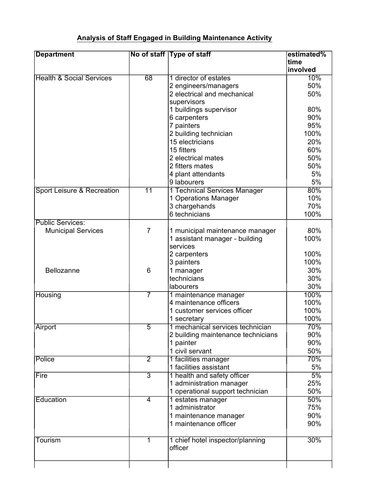# **Analysis of Staff Engaged in Building Maintenance Activity**

| <b>Department</b>                   |                 | No of staff Type of staff                      | estimated%<br>time |
|-------------------------------------|-----------------|------------------------------------------------|--------------------|
|                                     |                 |                                                | involved           |
| <b>Health &amp; Social Services</b> | 68              | 1 director of estates                          | 10%                |
|                                     |                 | 2 engineers/managers                           | 50%                |
|                                     |                 | 2 electrical and mechanical                    | 50%                |
|                                     |                 | supervisors                                    |                    |
|                                     |                 | 1 buildings supervisor                         | 80%                |
|                                     |                 | 6 carpenters                                   | 90%                |
|                                     |                 | 7 painters                                     | 95%                |
|                                     |                 | 2 building technician                          | 100%               |
|                                     |                 | 15 electricians                                | 20%                |
|                                     |                 | 15 fitters                                     | 60%                |
|                                     |                 | 2 electrical mates                             | 50%                |
|                                     |                 | 2 fitters mates                                | 50%                |
|                                     |                 | 4 plant attendants                             | 5%                 |
|                                     |                 | 9 labourers                                    | 5%                 |
| Sport Leisure & Recreation          | $\overline{11}$ | 1 Technical Services Manager                   | 80%                |
|                                     |                 | 1 Operations Manager                           | 10%                |
|                                     |                 | 3 chargehands                                  | 70%                |
|                                     |                 | 6 technicians                                  | 100%               |
| <b>Public Services:</b>             |                 |                                                |                    |
| <b>Municipal Services</b>           | $\overline{7}$  | 1 municipal maintenance manager                | 80%                |
|                                     |                 | 1 assistant manager - building                 | 100%               |
|                                     |                 | services                                       |                    |
|                                     |                 | 2 carpenters                                   | 100%               |
|                                     |                 | 3 painters                                     | 100%               |
| Bellozanne                          | 6               | 1 manager                                      | 30%                |
|                                     |                 | technicians                                    | 30%                |
|                                     |                 | labourers                                      | 30%                |
| Housing                             | 7               | 1 maintenance manager                          | 100%               |
|                                     |                 | 4 maintenance officers                         | 100%               |
|                                     |                 | 1 customer services officer                    | 100%               |
|                                     |                 | 1 secretary                                    | 100%               |
| Airport                             | $\overline{5}$  | 1 mechanical services technician               | 70%                |
|                                     |                 | 2 building maintenance technicians             | 90%                |
|                                     |                 | 1 painter                                      | 90%                |
|                                     |                 | 1 civil servant                                | 50%                |
| Police                              | $\overline{2}$  |                                                | 70%                |
|                                     |                 | 1 facilities manager<br>1 facilities assistant | 5%                 |
|                                     | $\overline{3}$  |                                                | 5%                 |
| Fire                                |                 | 1 health and safety officer                    | 25%                |
|                                     |                 | 1 administration manager                       | 50%                |
|                                     |                 | 1 operational support technician               |                    |
| Education                           | $\overline{4}$  | 1 estates manager                              | 50%                |
|                                     |                 | 1 administrator                                | 75%                |
|                                     |                 | 1 maintenance manager                          | 90%                |
|                                     |                 | 1 maintenance officer                          | 90%                |
| Tourism                             | 1               | 1 chief hotel inspector/planning               | 30%                |
|                                     |                 | officer                                        |                    |
|                                     |                 |                                                |                    |